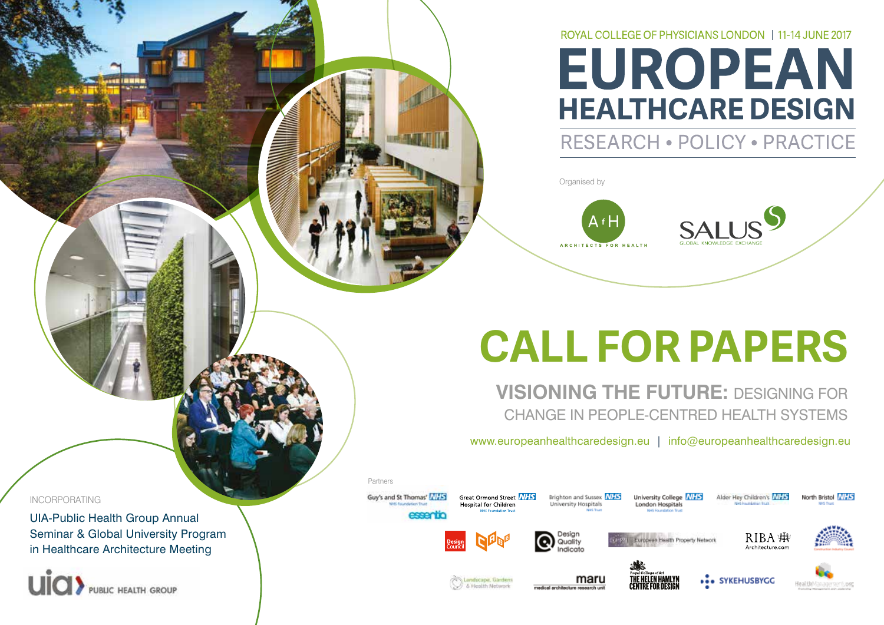# ROYAL COLLEGE OF PHYSICIANS LONDON | 11-14 JUNE 2017 **EUROPEAN HEALTHCARE DESIGN**

# RESEARCH . POLICY . PRACTICE

Organised by



# **CALL FOR PAPERS**

**VISIONING THE FUTURE: DESIGNING FOR** CHANGE IN PEOPLE-CENTRED HEALTH SYSTEMS

www.europeanhealthcaredesign.eu | info@europeanhealthcaredesign.eu

INCORPORATING

UIA-Public Health Group Annual Seminar & Global University Program in Healthcare Architecture Meeting





Guy's and St Thomas' MHS

**CONTRACTOR** 

Partners







Brighton and Sussex NHS

University Hospitals



University College NHS

London Hospitals



Alder Hey Children's NHS



North Bristol NHS



Great Ormond Street NHS

Hospital for Children







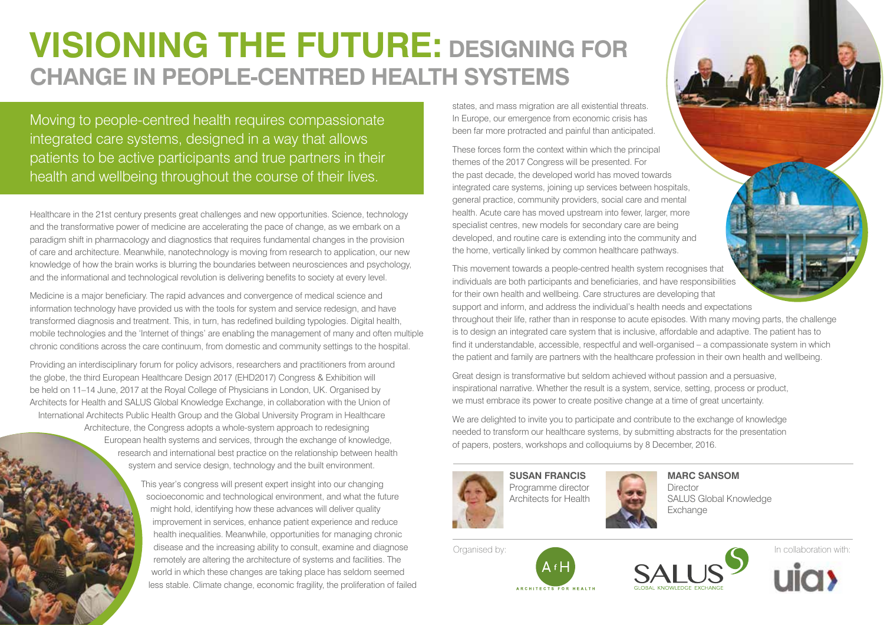# **VISIONING THE FUTURE: DESIGNING FOR CHANGE IN PEOPLE-CENTRED HEALTH SYSTEMS**

Moving to people-centred health requires compassionate integrated care systems, designed in a way that allows patients to be active participants and true partners in their health and wellbeing throughout the course of their lives.

Healthcare in the 21st century presents great challenges and new opportunities. Science, technology and the transformative power of medicine are accelerating the pace of change, as we embark on a paradigm shift in pharmacology and diagnostics that requires fundamental changes in the provision of care and architecture. Meanwhile, nanotechnology is moving from research to application, our new knowledge of how the brain works is blurring the boundaries between neurosciences and psychology, and the informational and technological revolution is delivering benefits to society at every level.

Medicine is a major beneficiary. The rapid advances and convergence of medical science and information technology have provided us with the tools for system and service redesign, and have transformed diagnosis and treatment. This, in turn, has redefined building typologies. Digital health, mobile technologies and the 'Internet of things' are enabling the management of many and often multiple chronic conditions across the care continuum, from domestic and community settings to the hospital.

Providing an interdisciplinary forum for policy advisors, researchers and practitioners from around the globe, the third European Healthcare Design 2017 (EHD2017) Congress & Exhibition will be held on 11–14 June, 2017 at the Royal College of Physicians in London, UK. Organised by Architects for Health and SALUS Global Knowledge Exchange, in collaboration with the Union of International Architects Public Health Group and the Global University Program in Healthcare Architecture, the Congress adopts a whole-system approach to redesigning European health systems and services, through the exchange of knowledge, research and international best practice on the relationship between health system and service design, technology and the built environment.

> This year's congress will present expert insight into our changing socioeconomic and technological environment, and what the future might hold, identifying how these advances will deliver quality improvement in services, enhance patient experience and reduce health inequalities. Meanwhile, opportunities for managing chronic disease and the increasing ability to consult, examine and diagnose remotely are altering the architecture of systems and facilities. The world in which these changes are taking place has seldom seemed less stable. Climate change, economic fragility, the proliferation of failed

states, and mass migration are all existential threats. In Europe, our emergence from economic crisis has been far more protracted and painful than anticipated.

These forces form the context within which the principal themes of the 2017 Congress will be presented. For the past decade, the developed world has moved towards integrated care systems, joining up services between hospitals, general practice, community providers, social care and mental health. Acute care has moved upstream into fewer, larger, more specialist centres, new models for secondary care are being developed, and routine care is extending into the community and the home, vertically linked by common healthcare pathways.

This movement towards a people-centred health system recognises that individuals are both participants and beneficiaries, and have responsibilities for their own health and wellbeing. Care structures are developing that support and inform, and address the individual's health needs and expectations

throughout their life, rather than in response to acute episodes. With many moving parts, the challenge is to design an integrated care system that is inclusive, affordable and adaptive. The patient has to find it understandable, accessible, respectful and well-organised – a compassionate system in which the patient and family are partners with the healthcare profession in their own health and wellbeing.

Great design is transformative but seldom achieved without passion and a persuasive, inspirational narrative. Whether the result is a system, service, setting, process or product, we must embrace its power to create positive change at a time of great uncertainty.

We are delighted to invite you to participate and contribute to the exchange of knowledge needed to transform our healthcare systems, by submitting abstracts for the presentation of papers, posters, workshops and colloquiums by 8 December, 2016.



**SUSAN FRANCIS** Programme director Architects for Health



**MARC SANSOM Director** SALUS Global Knowledge Exchange





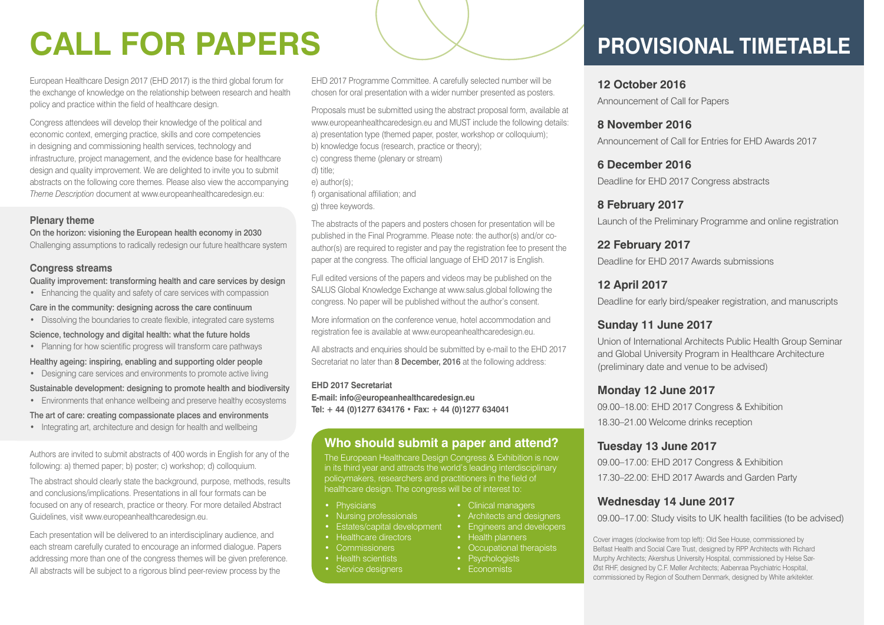# **CALL FOR PAPERS**

European Healthcare Design 2017 (EHD 2017) is the third global forum for the exchange of knowledge on the relationship between research and health policy and practice within the field of healthcare design.

Congress attendees will develop their knowledge of the political and economic context, emerging practice, skills and core competencies in designing and commissioning health services, technology and infrastructure, project management, and the evidence base for healthcare design and quality improvement. We are delighted to invite you to submit abstracts on the following core themes. Please also view the accompanying *Theme Description* document at www.europeanhealthcaredesign.eu:

#### **Plenary theme**

On the horizon: visioning the European health economy in 2030 Challenging assumptions to radically redesign our future healthcare system

**Congress streams**

Quality improvement: transforming health and care services by design

• Enhancing the quality and safety of care services with compassion

Care in the community: designing across the care continuum

• Dissolving the boundaries to create flexible, integrated care systems

Science, technology and digital health: what the future holds

• Planning for how scientific progress will transform care pathways

Healthy ageing: inspiring, enabling and supporting older people

- Designing care services and environments to promote active living
- Sustainable development: designing to promote health and biodiversity
- Environments that enhance wellbeing and preserve healthy ecosystems

The art of care: creating compassionate places and environments

• Integrating art, architecture and design for health and wellbeing

Authors are invited to submit abstracts of 400 words in English for any of the following: a) themed paper; b) poster; c) workshop; d) colloquium.

The abstract should clearly state the background, purpose, methods, results and conclusions/implications. Presentations in all four formats can be focused on any of research, practice or theory. For more detailed Abstract Guidelines, visit www.europeanhealthcaredesign.eu.

Each presentation will be delivered to an interdisciplinary audience, and each stream carefully curated to encourage an informed dialogue. Papers addressing more than one of the congress themes will be given preference. All abstracts will be subject to a rigorous blind peer-review process by the

EHD 2017 Programme Committee. A carefully selected number will be chosen for oral presentation with a wider number presented as posters.

Proposals must be submitted using the abstract proposal form, available at www.europeanhealthcaredesign.eu and MUST include the following details: a) presentation type (themed paper, poster, workshop or colloquium); b) knowledge focus (research, practice or theory); c) congress theme (plenary or stream) d) title; e) author(s); f) organisational affiliation; and

g) three keywords.

The abstracts of the papers and posters chosen for presentation will be published in the Final Programme. Please note: the author(s) and/or coauthor(s) are required to register and pay the registration fee to present the paper at the congress. The official language of EHD 2017 is English.

Full edited versions of the papers and videos may be published on the SALUS Global Knowledge Exchange at www.salus.global following the congress. No paper will be published without the author's consent.

More information on the conference venue, hotel accommodation and registration fee is available at www.europeanhealthcaredesign.eu.

All abstracts and enquiries should be submitted by e-mail to the EHD 2017 Secretariat no later than 8 December, 2016 at the following address:

### **EHD 2017 Secretariat**

**E-mail: info@europeanhealthcaredesign.eu Tel: + 44 (0)1277 634176 • Fax: + 44 (0)1277 634041**

## **Who should submit a paper and attend?**

The European Healthcare Design Congress & Exhibition is now in its third year and attracts the world's leading interdisciplinary healthcare design. The congress will be of interest to:

- Physicians
- Nursing professionals
- Estates/capital development
- Healthcare directors
- Commissioners
- Health scientists
- Service designers

# **PROVISIONAL TIMETABLE**

**12 October 2016** Announcement of Call for Papers

**8 November 2016** Announcement of Call for Entries for EHD Awards 2017

**6 December 2016** Deadline for EHD 2017 Congress abstracts

**8 February 2017** Launch of the Preliminary Programme and online registration

**22 February 2017** Deadline for EHD 2017 Awards submissions

**12 April 2017** Deadline for early bird/speaker registration, and manuscripts

## **Sunday 11 June 2017**

Union of International Architects Public Health Group Seminar and Global University Program in Healthcare Architecture (preliminary date and venue to be advised)

### **Monday 12 June 2017**

09.00–18.00: EHD 2017 Congress & Exhibition 18.30–21.00 Welcome drinks reception

## **Tuesday 13 June 2017**

09.00–17.00: EHD 2017 Congress & Exhibition 17.30–22.00: EHD 2017 Awards and Garden Party

### **Wednesday 14 June 2017**

09.00–17.00: Study visits to UK health facilities (to be advised)

Cover images (clockwise from top left): Old See House, commissioned by Belfast Health and Social Care Trust, designed by RPP Architects with Richard Murphy Architects; Akershus University Hospital, commissioned by Helse Sør-Øst RHF, designed by C.F. Møller Architects; Aabenraa Psychiatric Hospital, commissioned by Region of Southern Denmark, designed by White arkitekter.

- Clinical managers
- Architects and designers • Engineers and developers
- Health planners
- Occupational therapists
- Psychologists • Economists